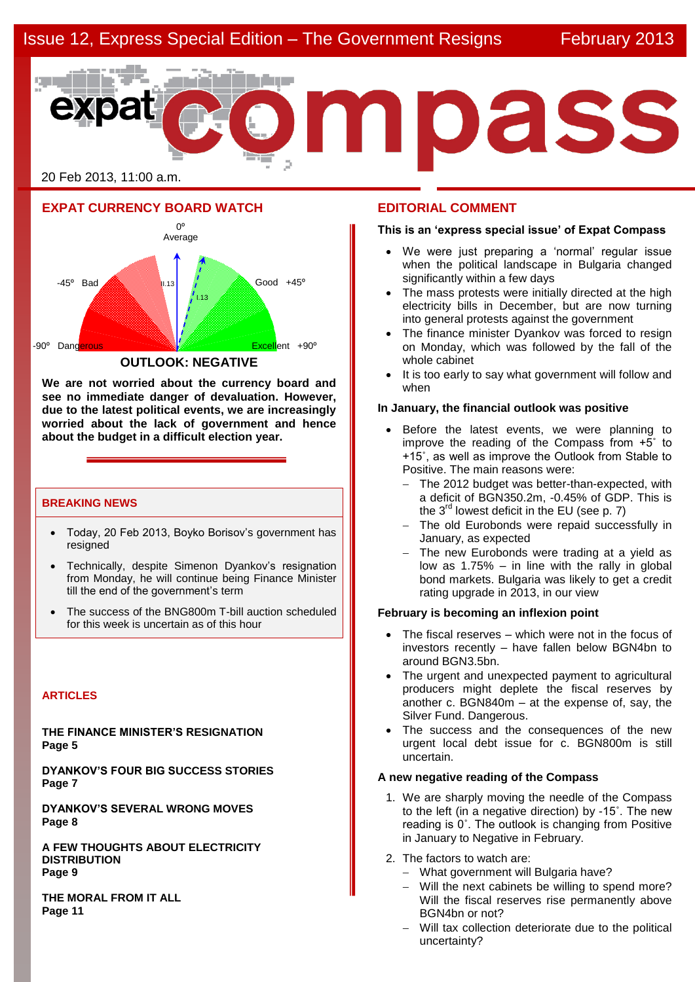

20 Feb 2013, 11:00 a.m.

**EXPAT CURRENCY BOARD WATCH**



**We are not worried about the currency board and see no immediate danger of devaluation. However, due to the latest political events, we are increasingly worried about the lack of government and hence about the budget in a difficult election year.**

## **BREAKING NEWS**

- Today, 20 Feb 2013, Boyko Borisov's government has resigned
- Technically, despite Simenon Dyankov's resignation from Monday, he will continue being Finance Minister till the end of the government's term
- The success of the BNG800m T-bill auction scheduled for this week is uncertain as of this hour

### **ARTICLES**

**THE FINANCE MINISTER'S RESIGNATION Page 5**

**DYANKOV'S FOUR BIG SUCCESS STORIES Page 7**

**DYANKOV'S SEVERAL WRONG MOVES Page 8**

**A FEW THOUGHTS ABOUT ELECTRICITY DISTRIBUTION Page 9**

**THE MORAL FROM IT ALL Page 11**

## **EDITORIAL COMMENT**

### **This is an 'express special issue' of Expat Compass**

- We were just preparing a 'normal' regular issue when the political landscape in Bulgaria changed significantly within a few days
- The mass protests were initially directed at the high electricity bills in December, but are now turning into general protests against the government
- The finance minister Dyankov was forced to resign on Monday, which was followed by the fall of the whole cabinet
- It is too early to say what government will follow and when

### **In January, the financial outlook was positive**

- Before the latest events, we were planning to improve the reading of the Compass from  $+5^\circ$  to +15˚, as well as improve the Outlook from Stable to Positive. The main reasons were:
	- The 2012 budget was better-than-expected, with a deficit of BGN350.2m, -0.45% of GDP. This is the 3<sup>rd</sup> lowest deficit in the EU (see p. 7)
	- The old Eurobonds were repaid successfully in January, as expected
	- $-$  The new Eurobonds were trading at a yield as low as  $1.75\%$  – in line with the rally in global bond markets. Bulgaria was likely to get a credit rating upgrade in 2013, in our view

#### **February is becoming an inflexion point**

- The fiscal reserves which were not in the focus of investors recently – have fallen below BGN4bn to around BGN3.5bn.
- The urgent and unexpected payment to agricultural producers might deplete the fiscal reserves by another c. BGN840m – at the expense of, say, the Silver Fund. Dangerous.
- The success and the consequences of the new urgent local debt issue for c. BGN800m is still uncertain.

## **A new negative reading of the Compass**

- 1. We are sharply moving the needle of the Compass to the left (in a negative direction) by -15˚. The new reading is 0˚. The outlook is changing from Positive in January to Negative in February.
- 2. The factors to watch are:
	- What government will Bulgaria have?
	- Will the next cabinets be willing to spend more? Will the fiscal reserves rise permanently above BGN4bn or not?
	- Will tax collection deteriorate due to the political uncertainty?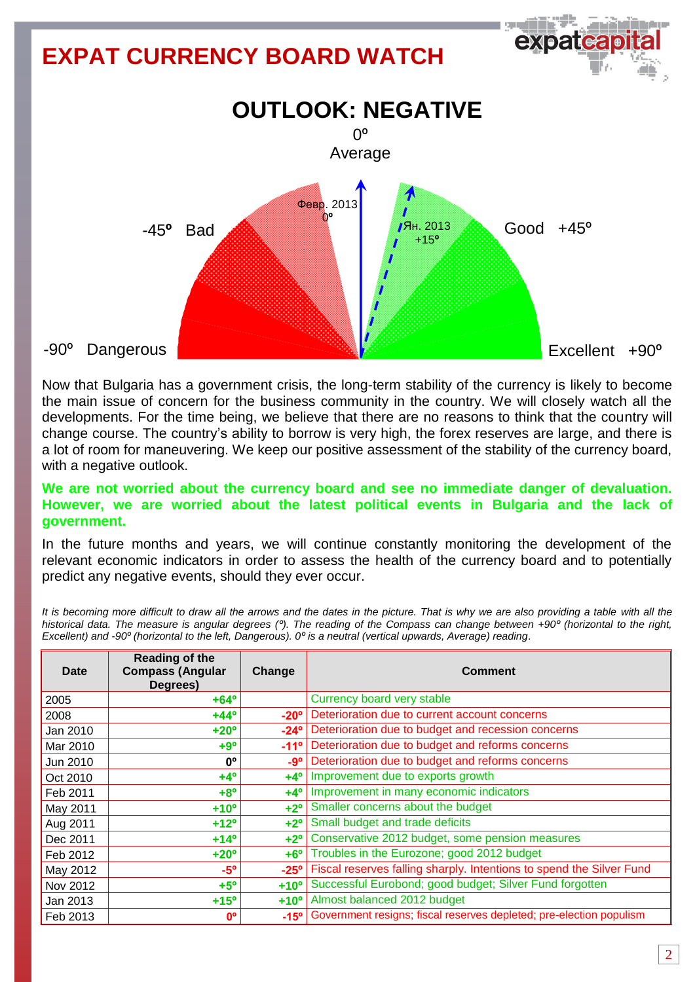# **EXPAT CURRENCY BOARD WATCH OUTLOOK: NEGATIVE** -45**º** Bad -90º Dangerous  $0^{\circ}$ Average  $Good +45°$ Excellent +90º Февр. 2013 0**º** Ян. 2013 +15**º**

Now that Bulgaria has a government crisis, the long-term stability of the currency is likely to become the main issue of concern for the business community in the country. We will closely watch all the developments. For the time being, we believe that there are no reasons to think that the country will change course. The country's ability to borrow is very high, the forex reserves are large, and there is a lot of room for maneuvering. We keep our positive assessment of the stability of the currency board, with a negative outlook.

## **We are not worried about the currency board and see no immediate danger of devaluation. However, we are worried about the latest political events in Bulgaria and the lack of government.**

In the future months and years, we will continue constantly monitoring the development of the relevant economic indicators in order to assess the health of the currency board and to potentially predict any negative events, should they ever occur.

*It is becoming more difficult to draw all the arrows and the dates in the picture. That is why we are also providing a table with all the historical data. The measure is angular degrees (º). The reading of the Compass can change between +90º (horizontal to the right, Excellent) and -90º (horizontal to the left, Dangerous). 0º is a neutral (vertical upwards, Average) reading*.

| <b>Date</b> | <b>Reading of the</b><br><b>Compass (Angular</b><br>Degrees) | Change        | <b>Comment</b>                                                       |
|-------------|--------------------------------------------------------------|---------------|----------------------------------------------------------------------|
| 2005        | $+64^{\circ}$                                                |               | Currency board very stable                                           |
| 2008        | $+44^{\circ}$                                                | $-20^\circ$   | Deterioration due to current account concerns                        |
| Jan 2010    | $+20^{\circ}$                                                | $-24^\circ$   | Deterioration due to budget and recession concerns                   |
| Mar 2010    | $+9°$                                                        | $-11^{\circ}$ | Deterioration due to budget and reforms concerns                     |
| Jun 2010    | <b>n</b> °                                                   | -9°           | Deterioration due to budget and reforms concerns                     |
| Oct 2010    | $+4^{\circ}$                                                 | $+4^\circ$    | Improvement due to exports growth                                    |
| Feb 2011    | $+8^{\circ}$                                                 | $+4^\circ$    | Improvement in many economic indicators                              |
| May 2011    | $+10o$                                                       | $+2^{\circ}$  | Smaller concerns about the budget                                    |
| Aug 2011    | $+12o$                                                       | $+2^{\circ}$  | Small budget and trade deficits                                      |
| Dec 2011    | $+14^{\circ}$                                                | $+2^\circ$    | Conservative 2012 budget, some pension measures                      |
| Feb 2012    | $+20^\circ$                                                  | $+6^\circ$    | Troubles in the Eurozone; good 2012 budget                           |
| May 2012    | $-5^\circ$                                                   | $-25^\circ$   | Fiscal reserves falling sharply. Intentions to spend the Silver Fund |
| Nov 2012    | $+5^{\circ}$                                                 | $+10^{\circ}$ | Successful Eurobond; good budget; Silver Fund forgotten              |
| Jan 2013    | $+15^{\circ}$                                                | $+10o$        | Almost balanced 2012 budget                                          |
| Feb 2013    | $0^{\circ}$                                                  | $-15^\circ$   | Government resigns; fiscal reserves depleted; pre-election populism  |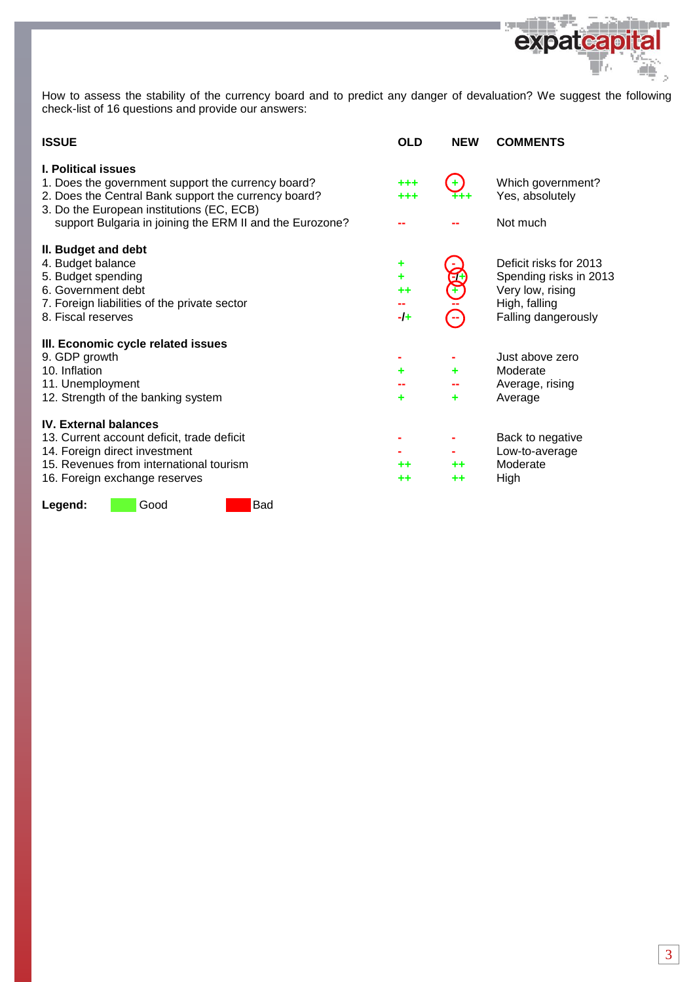

الألابي

t

How to assess the stability of the currency board and to predict any danger of devaluation? We suggest the following check-list of 16 questions and provide our answers:

| <b>OLD</b>                         | <b>NEW</b> | <b>COMMENTS</b>                                                                                              |
|------------------------------------|------------|--------------------------------------------------------------------------------------------------------------|
| $***$<br>+++                       | $\oplus$   | Which government?<br>Yes, absolutely                                                                         |
|                                    |            | Not much                                                                                                     |
| ٠<br>٠<br>$^{\tiny{++}}$<br>$-I +$ | Ŧ          | Deficit risks for 2013<br>Spending risks in 2013<br>Very low, rising<br>High, falling<br>Falling dangerously |
| ۰<br>٠                             | ٠<br>٠     | Just above zero<br>Moderate<br>Average, rising<br>Average                                                    |
| ++<br>++                           | ++<br>++   | Back to negative<br>Low-to-average<br>Moderate<br>High                                                       |
|                                    |            |                                                                                                              |

Legend: Good Bad

in de san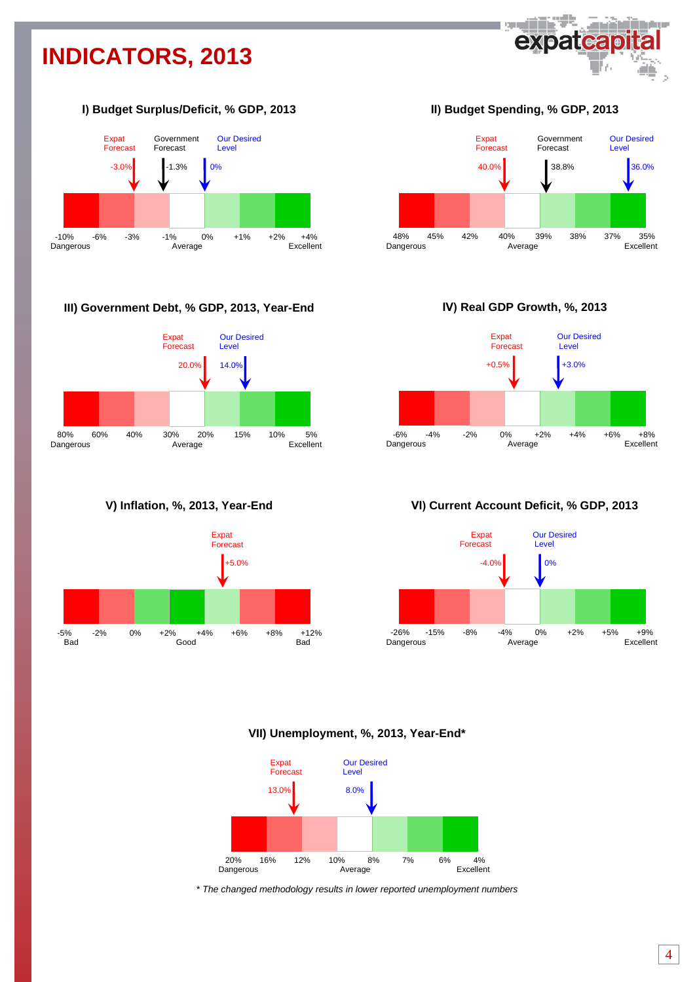# **INDICATORS, 2013**



## **І) Budget Surplus/Deficit, % GDP, 2013**



## **III) Government Debt, % GDP, 2013, Year-End**







**ІІ) Budget Spending, % GDP, 2013**



**ІV) Real GDP Growth, %, 2013**



## **VІ) Current Account Deficit, % GDP, 2013**



## **VII) Unemployment, %, 2013, Year-End\***



*\* The changed methodology results in lower reported unemployment numbers*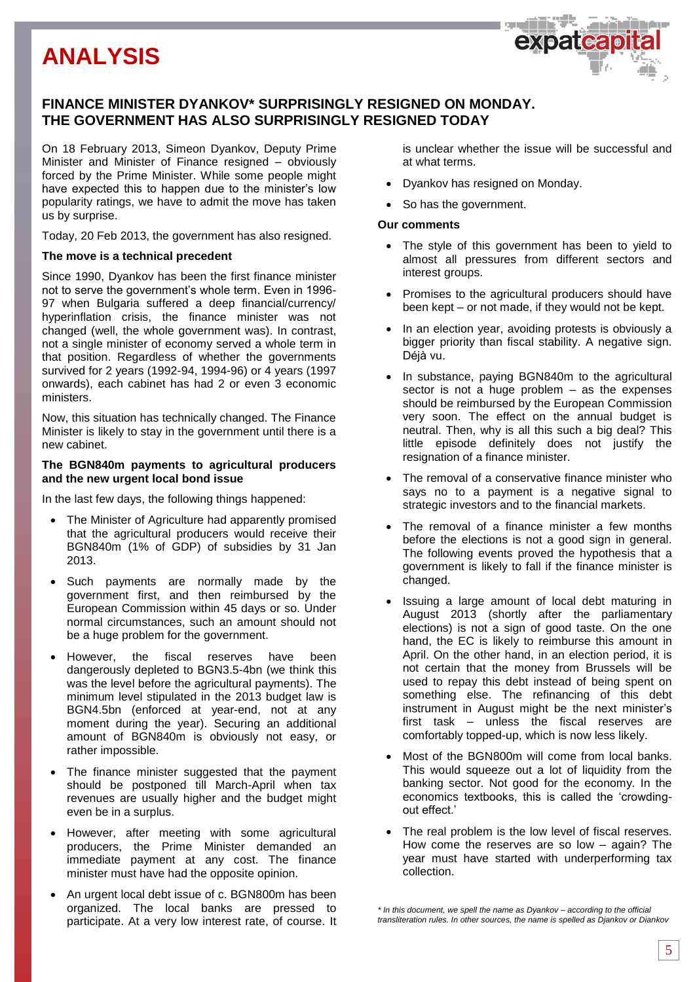## **FINANCE MINISTER DYANKOV\* SURPRISINGLY RESIGNED ON MONDAY. THE GOVERNMENT HAS ALSO SURPRISINGLY RESIGNED TODAY**

On 18 February 2013, Simeon Dyankov, Deputy Prime Minister and Minister of Finance resigned – obviously forced by the Prime Minister. While some people might have expected this to happen due to the minister's low popularity ratings, we have to admit the move has taken us by surprise.

Today, 20 Feb 2013, the government has also resigned.

## **The move is a technical precedent**

Since 1990, Dyankov has been the first finance minister not to serve the government's whole term. Even in 1996- 97 when Bulgaria suffered a deep financial/currency/ hyperinflation crisis, the finance minister was not changed (well, the whole government was). In contrast, not a single minister of economy served a whole term in that position. Regardless of whether the governments survived for 2 years (1992-94, 1994-96) or 4 years (1997 onwards), each cabinet has had 2 or even 3 economic ministers

Now, this situation has technically changed. The Finance Minister is likely to stay in the government until there is a new cabinet.

## **The BGN840m payments to agricultural producers and the new urgent local bond issue**

In the last few days, the following things happened:

- The Minister of Agriculture had apparently promised that the agricultural producers would receive their BGN840m (1% of GDP) of subsidies by 31 Jan 2013.
- Such payments are normally made by the government first, and then reimbursed by the European Commission within 45 days or so. Under normal circumstances, such an amount should not be a huge problem for the government.
- However, the fiscal reserves have been dangerously depleted to BGN3.5-4bn (we think this was the level before the agricultural payments). The minimum level stipulated in the 2013 budget law is BGN4.5bn (enforced at year-end, not at any moment during the year). Securing an additional amount of BGN840m is obviously not easy, or rather impossible.
- The finance minister suggested that the payment should be postponed till March-April when tax revenues are usually higher and the budget might even be in a surplus.
- However, after meeting with some agricultural producers, the Prime Minister demanded an immediate payment at any cost. The finance minister must have had the opposite opinion.
- An urgent local debt issue of c. BGN800m has been organized. The local banks are pressed to participate. At a very low interest rate, of course. It

is unclear whether the issue will be successful and at what terms.

- Dyankov has resigned on Monday.
- So has the government.

### **Our comments**

- The style of this government has been to yield to almost all pressures from different sectors and interest groups.
- Promises to the agricultural producers should have been kept – or not made, if they would not be kept.
- In an election year, avoiding protests is obviously a bigger priority than fiscal stability. A negative sign. Déjà vu.
- In substance, paying BGN840m to the agricultural sector is not a huge problem – as the expenses should be reimbursed by the European Commission very soon. The effect on the annual budget is neutral. Then, why is all this such a big deal? This little episode definitely does not justify the resignation of a finance minister.
- The removal of a conservative finance minister who says no to a payment is a negative signal to strategic investors and to the financial markets.
- The removal of a finance minister a few months before the elections is not a good sign in general. The following events proved the hypothesis that a government is likely to fall if the finance minister is changed.
- Issuing a large amount of local debt maturing in August 2013 (shortly after the parliamentary elections) is not a sign of good taste. On the one hand, the EC is likely to reimburse this amount in April. On the other hand, in an election period, it is not certain that the money from Brussels will be used to repay this debt instead of being spent on something else. The refinancing of this debt instrument in August might be the next minister's first task – unless the fiscal reserves are comfortably topped-up, which is now less likely.
- Most of the BGN800m will come from local banks. This would squeeze out a lot of liquidity from the banking sector. Not good for the economy. In the economics textbooks, this is called the 'crowdingout effect.'
- The real problem is the low level of fiscal reserves. How come the reserves are so low – again? The year must have started with underperforming tax collection.

*<sup>\*</sup> In this document, we spell the name as Dyankov – according to the official transliteration rules. In other sources, the name is spelled as Djankov or Diankov*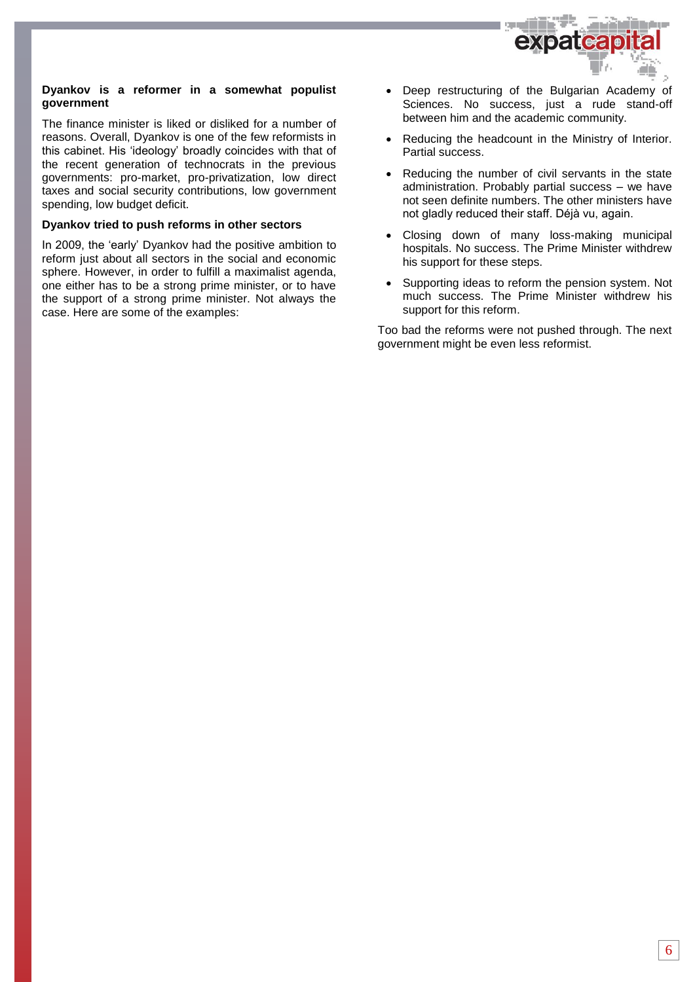

## **Dyankov is a reformer in a somewhat populist government**

The finance minister is liked or disliked for a number of reasons. Overall, Dyankov is one of the few reformists in this cabinet. His 'ideology' broadly coincides with that of the recent generation of technocrats in the previous governments: pro-market, pro-privatization, low direct taxes and social security contributions, low government spending, low budget deficit.

## **Dyankov tried to push reforms in other sectors**

In 2009, the 'early' Dyankov had the positive ambition to reform just about all sectors in the social and economic sphere. However, in order to fulfill a maximalist agenda, one either has to be a strong prime minister, or to have the support of a strong prime minister. Not always the case. Here are some of the examples:

- Deep restructuring of the Bulgarian Academy of Sciences. No success, just a rude stand-off between him and the academic community.
- Reducing the headcount in the Ministry of Interior. Partial success.
- Reducing the number of civil servants in the state administration. Probably partial success – we have not seen definite numbers. The other ministers have not gladly reduced their staff. Déjà vu, again.
- Closing down of many loss-making municipal hospitals. No success. The Prime Minister withdrew his support for these steps.
- Supporting ideas to reform the pension system. Not much success. The Prime Minister withdrew his support for this reform.

Too bad the reforms were not pushed through. The next government might be even less reformist.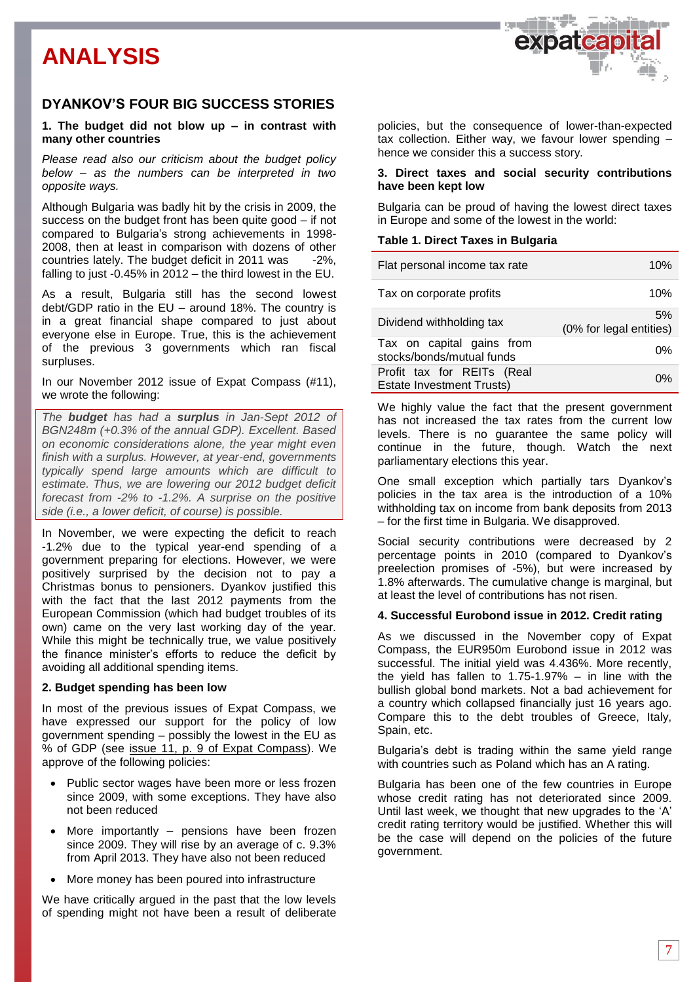

## **DYANKOV'S FOUR BIG SUCCESS STORIES**

## **1. The budget did not blow up – in contrast with many other countries**

*Please read also our criticism about the budget policy below – as the numbers can be interpreted in two opposite ways.* 

Although Bulgaria was badly hit by the crisis in 2009, the success on the budget front has been quite good – if not compared to Bulgaria's strong achievements in 1998- 2008, then at least in comparison with dozens of other countries lately. The budget deficit in 2011 was -2%, falling to just -0.45% in 2012 – the third lowest in the EU.

As a result, Bulgaria still has the second lowest debt/GDP ratio in the EU – around 18%. The country is in a great financial shape compared to just about everyone else in Europe. True, this is the achievement of the previous 3 governments which ran fiscal surpluses.

In our November 2012 issue of Expat Compass (#11), we wrote the following:

*The budget has had a surplus in Jan-Sept 2012 of BGN248m (+0.3% of the annual GDP). Excellent. Based on economic considerations alone, the year might even finish with a surplus. However, at year-end, governments typically spend large amounts which are difficult to estimate. Thus, we are lowering our 2012 budget deficit forecast from -2% to -1.2%. A surprise on the positive side (i.e., a lower deficit, of course) is possible.* 

In November, we were expecting the deficit to reach -1.2% due to the typical year-end spending of a government preparing for elections. However, we were positively surprised by the decision not to pay a Christmas bonus to pensioners. Dyankov justified this with the fact that the last 2012 payments from the European Commission (which had budget troubles of its own) came on the very last working day of the year. While this might be technically true, we value positively the finance minister's efforts to reduce the deficit by avoiding all additional spending items.

## **2. Budget spending has been low**

In most of the previous issues of Expat Compass, we have expressed our support for the policy of low government spending – possibly the lowest in the EU as % of GDP (see issue 11, p. 9 [of Expat Compass\)](http://expat.bg/uploads/ExpatCompass11-ENG.pdf). We approve of the following policies:

- Public sector wages have been more or less frozen since 2009, with some exceptions. They have also not been reduced
- More importantly pensions have been frozen since 2009. They will rise by an average of c. 9.3% from April 2013. They have also not been reduced
- More money has been poured into infrastructure

We have critically argued in the past that the low levels of spending might not have been a result of deliberate

policies, but the consequence of lower-than-expected tax collection. Either way, we favour lower spending – hence we consider this a success story.

## **3. Direct taxes and social security contributions have been kept low**

Bulgaria can be proud of having the lowest direct taxes in Europe and some of the lowest in the world:

## **Table 1. Direct Taxes in Bulgaria**

| Flat personal income tax rate                                  | 10%                           |
|----------------------------------------------------------------|-------------------------------|
| Tax on corporate profits                                       | 10%                           |
| Dividend withholding tax                                       | 5%<br>(0% for legal entities) |
| Tax on capital gains from<br>stocks/bonds/mutual funds         | 0%                            |
| Profit tax for REITs (Real<br><b>Estate Investment Trusts)</b> | በ%                            |

We highly value the fact that the present government has not increased the tax rates from the current low levels. There is no guarantee the same policy will continue in the future, though. Watch the next parliamentary elections this year.

One small exception which partially tars Dyankov's policies in the tax area is the introduction of a 10% withholding tax on income from bank deposits from 2013 – for the first time in Bulgaria. We disapproved.

Social security contributions were decreased by 2 percentage points in 2010 (compared to Dyankov's preelection promises of -5%), but were increased by 1.8% afterwards. The cumulative change is marginal, but at least the level of contributions has not risen.

## **4. Successful Eurobond issue in 2012. Credit rating**

As we discussed in the November copy of Expat Compass, the EUR950m Eurobond issue in 2012 was successful. The initial yield was 4.436%. More recently, the yield has fallen to 1.75-1.97% – in line with the bullish global bond markets. Not a bad achievement for a country which collapsed financially just 16 years ago. Compare this to the debt troubles of Greece, Italy, Spain, etc.

Bulgaria's debt is trading within the same yield range with countries such as Poland which has an A rating.

Bulgaria has been one of the few countries in Europe whose credit rating has not deteriorated since 2009. Until last week, we thought that new upgrades to the 'A' credit rating territory would be justified. Whether this will be the case will depend on the policies of the future government.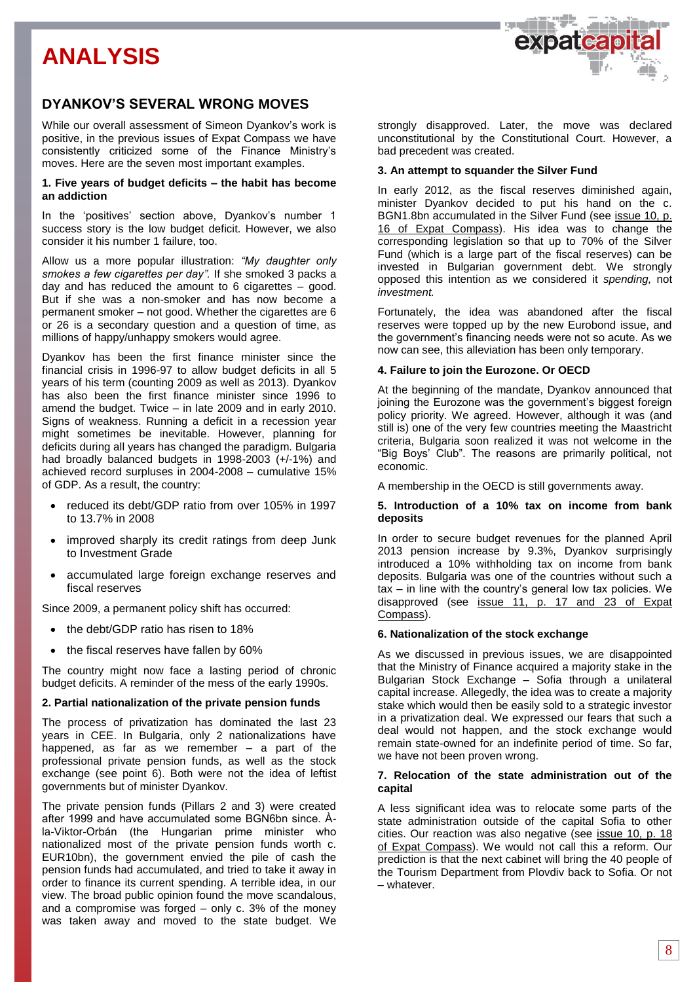



## **DYANKOV'S SEVERAL WRONG MOVES**

While our overall assessment of Simeon Dyankov's work is positive, in the previous issues of Expat Compass we have consistently criticized some of the Finance Ministry's moves. Here are the seven most important examples.

### **1. Five years of budget deficits – the habit has become an addiction**

In the 'positives' section above, Dyankov's number 1 success story is the low budget deficit. However, we also consider it his number 1 failure, too.

Allow us a more popular illustration: *"My daughter only smokes a few cigarettes per day".* If she smoked 3 packs a day and has reduced the amount to 6 cigarettes – good. But if she was a non-smoker and has now become a permanent smoker – not good. Whether the cigarettes are 6 or 26 is a secondary question and a question of time, as millions of happy/unhappy smokers would agree.

Dyankov has been the first finance minister since the financial crisis in 1996-97 to allow budget deficits in all 5 years of his term (counting 2009 as well as 2013). Dyankov has also been the first finance minister since 1996 to amend the budget. Twice – in late 2009 and in early 2010. Signs of weakness. Running a deficit in a recession year might sometimes be inevitable. However, planning for deficits during all years has changed the paradigm. Bulgaria had broadly balanced budgets in 1998-2003 (+/-1%) and achieved record surpluses in 2004-2008 – cumulative 15% of GDP. As a result, the country:

- reduced its debt/GDP ratio from over 105% in 1997 to 13.7% in 2008
- improved sharply its credit ratings from deep Junk to Investment Grade
- accumulated large foreign exchange reserves and fiscal reserves

Since 2009, a permanent policy shift has occurred:

- the debt/GDP ratio has risen to 18%
- the fiscal reserves have fallen by 60%

The country might now face a lasting period of chronic budget deficits. A reminder of the mess of the early 1990s.

#### **2. Partial nationalization of the private pension funds**

The process of privatization has dominated the last 23 years in CEE. In Bulgaria, only 2 nationalizations have happened, as far as we remember – a part of the professional private pension funds, as well as the stock exchange (see point 6). Both were not the idea of leftist governments but of minister Dyankov.

The private pension funds (Pillars 2 and 3) were created after 1999 and have accumulated some BGN6bn since. Àla-Viktor-Orbán (the Hungarian prime minister who nationalized most of the private pension funds worth c. EUR10bn), the government envied the pile of cash the pension funds had accumulated, and tried to take it away in order to finance its current spending. A terrible idea, in our view. The broad public opinion found the move scandalous, and a compromise was forged – only c. 3% of the money was taken away and moved to the state budget. We

strongly disapproved. Later, the move was declared unconstitutional by the Constitutional Court. However, a bad precedent was created.

#### **3. An attempt to squander the Silver Fund**

In early 2012, as the fiscal reserves diminished again, minister Dyankov decided to put his hand on the c. BGN1.8bn accumulated in the Silver Fund (see [issue 10, p.](http://expat.bg/uploads/ExpatCompass10-ENG.pdf)  16 [of Expat Compass\)](http://expat.bg/uploads/ExpatCompass10-ENG.pdf). His idea was to change the corresponding legislation so that up to 70% of the Silver Fund (which is a large part of the fiscal reserves) can be invested in Bulgarian government debt. We strongly opposed this intention as we considered it *spending,* not *investment.*

Fortunately, the idea was abandoned after the fiscal reserves were topped up by the new Eurobond issue, and the government's financing needs were not so acute. As we now can see, this alleviation has been only temporary.

### **4. Failure to join the Eurozone. Or OECD**

At the beginning of the mandate, Dyankov announced that joining the Eurozone was the government's biggest foreign policy priority. We agreed. However, although it was (and still is) one of the very few countries meeting the Maastricht criteria, Bulgaria soon realized it was not welcome in the "Big Boys' Club". The reasons are primarily political, not economic.

A membership in the OECD is still governments away.

#### **5. Introduction of a 10% tax on income from bank deposits**

In order to secure budget revenues for the planned April 2013 pension increase by 9.3%, Dyankov surprisingly introduced a 10% withholding tax on income from bank deposits. Bulgaria was one of the countries without such a tax – in line with the country's general low tax policies. We disapproved (see [issue 11, p. 17 and 23](http://expat.bg/uploads/ExpatCompass11-ENG.pdf) of Expat [Compass\)](http://expat.bg/uploads/ExpatCompass11-ENG.pdf).

#### **6. Nationalization of the stock exchange**

As we discussed in previous issues, we are disappointed that the Ministry of Finance acquired a majority stake in the Bulgarian Stock Exchange – Sofia through a unilateral capital increase. Allegedly, the idea was to create a majority stake which would then be easily sold to a strategic investor in a privatization deal. We expressed our fears that such a deal would not happen, and the stock exchange would remain state-owned for an indefinite period of time. So far, we have not been proven wrong.

### **7. Relocation of the state administration out of the capital**

A less significant idea was to relocate some parts of the state administration outside of the capital Sofia to other cities. Our reaction was also negative (see [issue 10, p. 18](http://expat.bg/uploads/ExpatCompass10-ENG.pdf) of Expat [Compass\)](http://expat.bg/uploads/ExpatCompass10-ENG.pdf). We would not call this a reform. Our prediction is that the next cabinet will bring the 40 people of the Tourism Department from Plovdiv back to Sofia. Or not – whatever.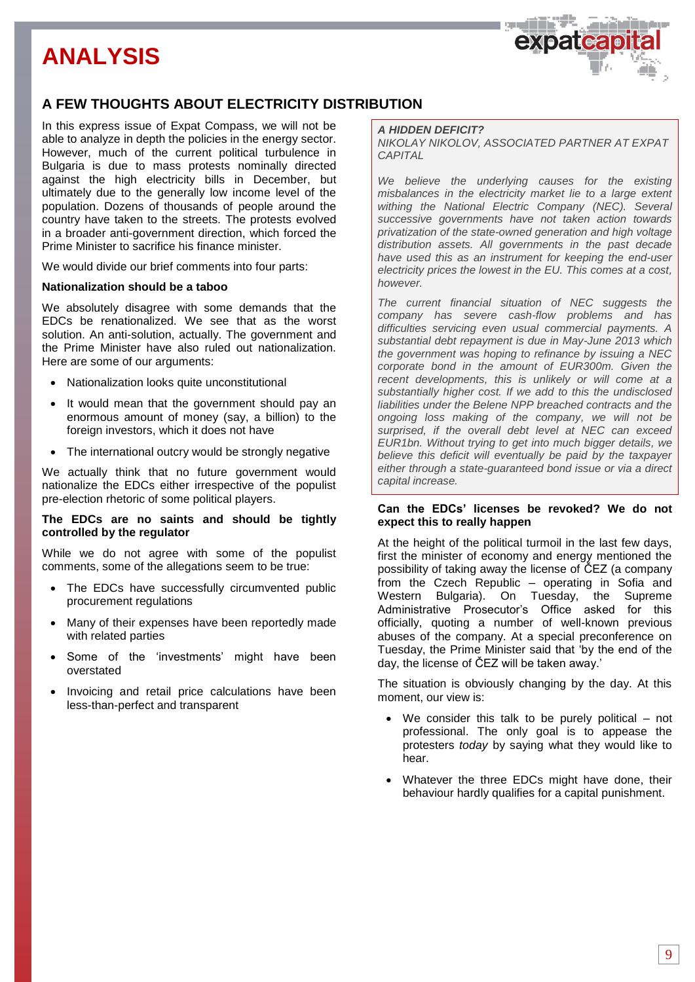

## **A FEW THOUGHTS ABOUT ELECTRICITY DISTRIBUTION**

In this express issue of Expat Compass, we will not be able to analyze in depth the policies in the energy sector. However, much of the current political turbulence in Bulgaria is due to mass protests nominally directed against the high electricity bills in December, but ultimately due to the generally low income level of the population. Dozens of thousands of people around the country have taken to the streets. The protests evolved in a broader anti-government direction, which forced the Prime Minister to sacrifice his finance minister.

We would divide our brief comments into four parts:

## **Nationalization should be a taboo**

We absolutely disagree with some demands that the EDCs be renationalized. We see that as the worst solution. An anti-solution, actually. The government and the Prime Minister have also ruled out nationalization. Here are some of our arguments:

- Nationalization looks quite unconstitutional
- It would mean that the government should pay an enormous amount of money (say, a billion) to the foreign investors, which it does not have
- The international outcry would be strongly negative

We actually think that no future government would nationalize the EDCs either irrespective of the populist pre-election rhetoric of some political players.

## **The EDCs are no saints and should be tightly controlled by the regulator**

While we do not agree with some of the populist comments, some of the allegations seem to be true:

- The EDCs have successfully circumvented public procurement regulations
- Many of their expenses have been reportedly made with related parties
- Some of the 'investments' might have been overstated
- Invoicing and retail price calculations have been less-than-perfect and transparent

#### *A HIDDEN DEFICIT?*

*NIKOLAY NIKOLOV, ASSOCIATED PARTNER AT EXPAT CAPITAL*

*We believe the underlying causes for the existing misbalances in the electricity market lie to a large extent withing the National Electric Company (NEC). Several successive governments have not taken action towards privatization of the state-owned generation and high voltage distribution assets. All governments in the past decade have used this as an instrument for keeping the end-user electricity prices the lowest in the EU. This comes at a cost, however.* 

*The current financial situation of NEC suggests the company has severe cash-flow problems and has difficulties servicing even usual commercial payments. A substantial debt repayment is due in May-June 2013 which the government was hoping to refinance by issuing a NEC corporate bond in the amount of EUR300m. Given the recent developments, this is unlikely or will come at a substantially higher cost. If we add to this the undisclosed liabilities under the Belene NPP breached contracts and the ongoing loss making of the company, we will not be surprised, if the overall debt level at NEC can exceed EUR1bn. Without trying to get into much bigger details, we believe this deficit will eventually be paid by the taxpayer either through a state-guaranteed bond issue or via a direct capital increase.*

## **Can the EDCs' licenses be revoked? We do not expect this to really happen**

At the height of the political turmoil in the last few days, first the minister of economy and energy mentioned the possibility of taking away the license of ČEZ (a company from the Czech Republic – operating in Sofia and Western Bulgaria). On Tuesday, the Supreme Administrative Prosecutor's Office asked for this officially, quoting a number of well-known previous abuses of the company. At a special preconference on Tuesday, the Prime Minister said that 'by the end of the day, the license of ČEZ will be taken away.'

The situation is obviously changing by the day. At this moment, our view is:

- We consider this talk to be purely political not professional. The only goal is to appease the protesters *today* by saying what they would like to hear.
- Whatever the three EDCs might have done, their behaviour hardly qualifies for a capital punishment.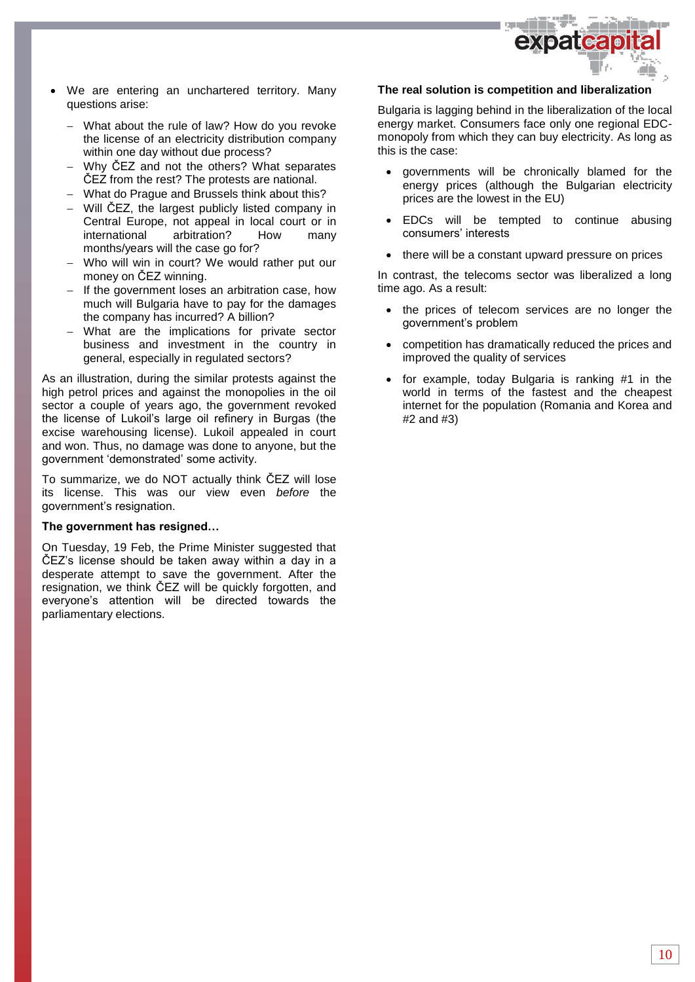

- We are entering an unchartered territory. Many questions arise:
	- What about the rule of law? How do you revoke the license of an electricity distribution company within one day without due process?
	- Why ČEZ and not the others? What separates ČEZ from the rest? The protests are national.
	- What do Prague and Brussels think about this?
	- Will ČEZ, the largest publicly listed company in Central Europe, not appeal in local court or in international arbitration? How many months/years will the case go for?
	- Who will win in court? We would rather put our money on ČEZ winning.
	- $-$  If the government loses an arbitration case, how much will Bulgaria have to pay for the damages the company has incurred? A billion?
	- What are the implications for private sector business and investment in the country in general, especially in regulated sectors?

As an illustration, during the similar protests against the high petrol prices and against the monopolies in the oil sector a couple of years ago, the government revoked the license of Lukoil's large oil refinery in Burgas (the excise warehousing license). Lukoil appealed in court and won. Thus, no damage was done to anyone, but the government 'demonstrated' some activity.

To summarize, we do NOT actually think ČEZ will lose its license. This was our view even *before* the government's resignation.

## **The government has resigned…**

On Tuesday, 19 Feb, the Prime Minister suggested that ČEZ's license should be taken away within a day in a desperate attempt to save the government. After the resignation, we think ČEZ will be quickly forgotten, and everyone's attention will be directed towards the parliamentary elections.

## **The real solution is competition and liberalization**

Bulgaria is lagging behind in the liberalization of the local energy market. Consumers face only one regional EDCmonopoly from which they can buy electricity. As long as this is the case:

- governments will be chronically blamed for the energy prices (although the Bulgarian electricity prices are the lowest in the EU)
- EDCs will be tempted to continue abusing consumers' interests
- there will be a constant upward pressure on prices

In contrast, the telecoms sector was liberalized a long time ago. As a result:

- the prices of telecom services are no longer the government's problem
- competition has dramatically reduced the prices and improved the quality of services
- for example, today Bulgaria is ranking #1 in the world in terms of the fastest and the cheapest internet for the population (Romania and Korea and #2 and #3)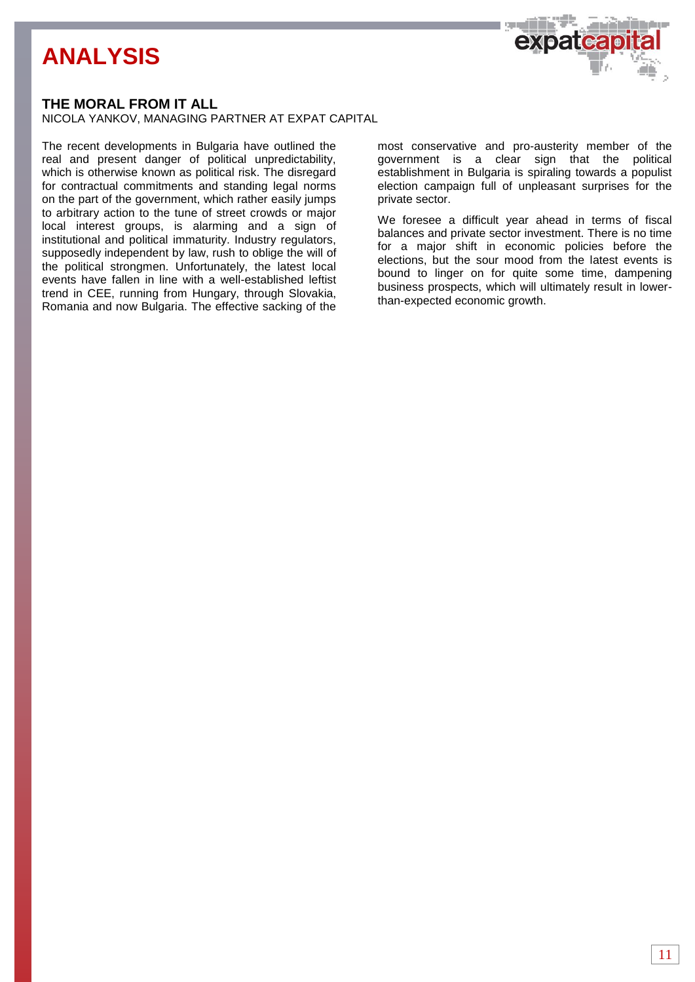

## **THE MORAL FROM IT ALL**

NICOLA YANKOV, MANAGING PARTNER AT EXPAT CAPITAL

The recent developments in Bulgaria have outlined the real and present danger of political unpredictability, which is otherwise known as political risk. The disregard for contractual commitments and standing legal norms on the part of the government, which rather easily jumps to arbitrary action to the tune of street crowds or major local interest groups, is alarming and a sign of institutional and political immaturity. Industry regulators, supposedly independent by law, rush to oblige the will of the political strongmen. Unfortunately, the latest local events have fallen in line with a well-established leftist trend in CEE, running from Hungary, through Slovakia, Romania and now Bulgaria. The effective sacking of the

most conservative and pro-austerity member of the government is a clear sign that the political establishment in Bulgaria is spiraling towards a populist election campaign full of unpleasant surprises for the private sector.

We foresee a difficult year ahead in terms of fiscal balances and private sector investment. There is no time for a major shift in economic policies before the elections, but the sour mood from the latest events is bound to linger on for quite some time, dampening business prospects, which will ultimately result in lowerthan-expected economic growth.